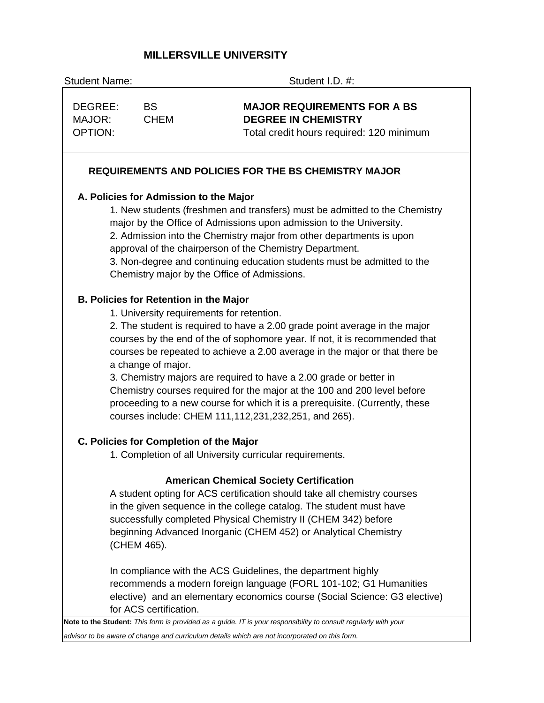# **MILLERSVILLE UNIVERSITY**

| <b>Student Name:</b><br>Student I.D. #: |                                               |                                                                                                                                                                                                                                                                                                                                                                                                                                                                                                                         |
|-----------------------------------------|-----------------------------------------------|-------------------------------------------------------------------------------------------------------------------------------------------------------------------------------------------------------------------------------------------------------------------------------------------------------------------------------------------------------------------------------------------------------------------------------------------------------------------------------------------------------------------------|
| DEGREE:<br>MAJOR:<br><b>OPTION:</b>     | <b>BS</b><br><b>CHEM</b>                      | <b>MAJOR REQUIREMENTS FOR A BS</b><br><b>DEGREE IN CHEMISTRY</b><br>Total credit hours required: 120 minimum                                                                                                                                                                                                                                                                                                                                                                                                            |
|                                         |                                               | <b>REQUIREMENTS AND POLICIES FOR THE BS CHEMISTRY MAJOR</b>                                                                                                                                                                                                                                                                                                                                                                                                                                                             |
|                                         | A. Policies for Admission to the Major        |                                                                                                                                                                                                                                                                                                                                                                                                                                                                                                                         |
|                                         |                                               | 1. New students (freshmen and transfers) must be admitted to the Chemistry<br>major by the Office of Admissions upon admission to the University.<br>2. Admission into the Chemistry major from other departments is upon<br>approval of the chairperson of the Chemistry Department.<br>3. Non-degree and continuing education students must be admitted to the<br>Chemistry major by the Office of Admissions.                                                                                                        |
|                                         | <b>B. Policies for Retention in the Major</b> |                                                                                                                                                                                                                                                                                                                                                                                                                                                                                                                         |
|                                         | a change of major.                            | 1. University requirements for retention.<br>2. The student is required to have a 2.00 grade point average in the major<br>courses by the end of the of sophomore year. If not, it is recommended that<br>courses be repeated to achieve a 2.00 average in the major or that there be<br>3. Chemistry majors are required to have a 2.00 grade or better in<br>Chemistry courses required for the major at the 100 and 200 level before<br>proceeding to a new course for which it is a prerequisite. (Currently, these |
|                                         |                                               | courses include: CHEM 111, 112, 231, 232, 251, and 265).                                                                                                                                                                                                                                                                                                                                                                                                                                                                |
|                                         | C. Policies for Completion of the Major       |                                                                                                                                                                                                                                                                                                                                                                                                                                                                                                                         |
|                                         |                                               | 1. Completion of all University curricular requirements.                                                                                                                                                                                                                                                                                                                                                                                                                                                                |
|                                         | (CHEM 465).                                   | <b>American Chemical Society Certification</b><br>A student opting for ACS certification should take all chemistry courses<br>in the given sequence in the college catalog. The student must have<br>successfully completed Physical Chemistry II (CHEM 342) before<br>beginning Advanced Inorganic (CHEM 452) or Analytical Chemistry                                                                                                                                                                                  |
|                                         | for ACS certification.                        | In compliance with the ACS Guidelines, the department highly<br>recommends a modern foreign language (FORL 101-102; G1 Humanities<br>elective) and an elementary economics course (Social Science: G3 elective)<br>Note to the Student: This form is provided as a guide. IT is your responsibility to consult regularly with your                                                                                                                                                                                      |

*advisor to be aware of change and curriculum details which are not incorporated on this form.*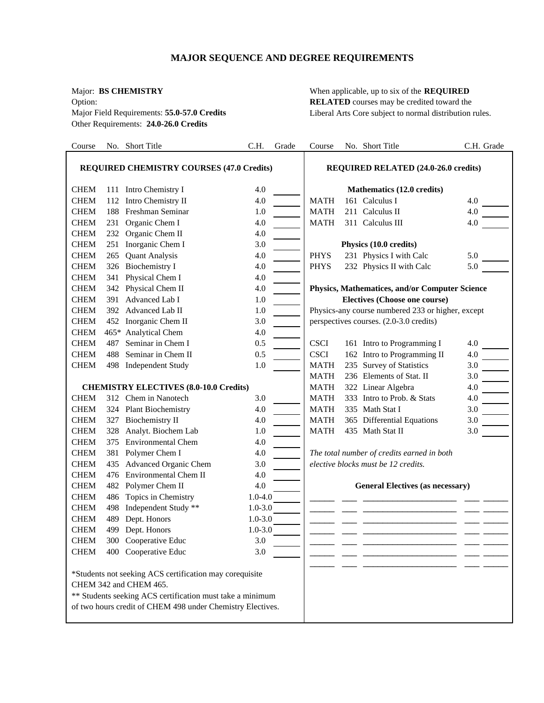# **MAJOR SEQUENCE AND DEGREE REQUIREMENTS**

Other Requirements: **24.0-26.0 Credits**

Major: **BS CHEMISTRY** When applicable, up to six of the **REQUIRED** Option: **RELATED** courses may be credited toward the Major Field Requirements: **55.0-57.0 Credits** Liberal Arts Core subject to normal distribution rules.

| Course      |     | No. Short Title                                                                                                                                                                                              | C.H.        | Grade | Course      | No. Short Title                                   | C.H. Grade |
|-------------|-----|--------------------------------------------------------------------------------------------------------------------------------------------------------------------------------------------------------------|-------------|-------|-------------|---------------------------------------------------|------------|
|             |     | <b>REQUIRED CHEMISTRY COURSES (47.0 Credits)</b>                                                                                                                                                             |             |       |             | <b>REQUIRED RELATED (24.0-26.0 credits)</b>       |            |
| <b>CHEM</b> |     | 111 Intro Chemistry I                                                                                                                                                                                        | 4.0         |       |             | Mathematics (12.0 credits)                        |            |
| <b>CHEM</b> |     | 112 Intro Chemistry II                                                                                                                                                                                       | 4.0         |       | <b>MATH</b> | 161 Calculus I                                    | 4.0        |
| <b>CHEM</b> | 188 | Freshman Seminar                                                                                                                                                                                             | 1.0         |       | <b>MATH</b> | 211 Calculus II                                   | 4.0        |
| <b>CHEM</b> |     | 231 Organic Chem I                                                                                                                                                                                           | 4.0         |       | <b>MATH</b> | 311 Calculus III                                  | 4.0        |
| <b>CHEM</b> |     | 232 Organic Chem II                                                                                                                                                                                          | 4.0         |       |             |                                                   |            |
| <b>CHEM</b> |     | 251 Inorganic Chem I                                                                                                                                                                                         | 3.0         |       |             | Physics (10.0 credits)                            |            |
| <b>CHEM</b> | 265 | <b>Quant Analysis</b>                                                                                                                                                                                        | 4.0         |       | <b>PHYS</b> | 231 Physics I with Calc                           | 5.0        |
| <b>CHEM</b> |     | 326 Biochemistry I                                                                                                                                                                                           | 4.0         |       | <b>PHYS</b> | 232 Physics II with Calc                          | 5.0        |
| <b>CHEM</b> | 341 | Physical Chem I                                                                                                                                                                                              | 4.0         |       |             |                                                   |            |
| <b>CHEM</b> |     | 342 Physical Chem II                                                                                                                                                                                         | 4.0         |       |             | Physics, Mathematices, and/or Computer Science    |            |
| <b>CHEM</b> |     | 391 Advanced Lab I                                                                                                                                                                                           | 1.0         |       |             | <b>Electives (Choose one course)</b>              |            |
| <b>CHEM</b> |     | 392 Advanced Lab II                                                                                                                                                                                          | 1.0         |       |             | Physics-any course numbered 233 or higher, except |            |
| <b>CHEM</b> |     | 452 Inorganic Chem II                                                                                                                                                                                        | 3.0         |       |             | perspectives courses. (2.0-3.0 credits)           |            |
| <b>CHEM</b> |     | 465* Analytical Chem                                                                                                                                                                                         | 4.0         |       |             |                                                   |            |
| <b>CHEM</b> | 487 | Seminar in Chem I                                                                                                                                                                                            | 0.5         |       | <b>CSCI</b> | 161 Intro to Programming I                        | 4.0        |
| <b>CHEM</b> | 488 | Seminar in Chem II                                                                                                                                                                                           | 0.5         |       | <b>CSCI</b> | 162 Intro to Programming II                       | 4.0        |
| <b>CHEM</b> |     | 498 Independent Study                                                                                                                                                                                        | 1.0         |       | <b>MATH</b> | 235 Survey of Statistics                          | 3.0        |
|             |     |                                                                                                                                                                                                              |             |       | <b>MATH</b> | 236 Elements of Stat. II                          | 3.0        |
|             |     | <b>CHEMISTRY ELECTIVES (8.0-10.0 Credits)</b>                                                                                                                                                                |             |       | <b>MATH</b> | 322 Linear Algebra                                | 4.0        |
| <b>CHEM</b> |     | 312 Chem in Nanotech                                                                                                                                                                                         | 3.0         |       | <b>MATH</b> | 333 Intro to Prob. & Stats                        | 4.0        |
| <b>CHEM</b> |     | 324 Plant Biochemistry                                                                                                                                                                                       | 4.0         |       | <b>MATH</b> | 335 Math Stat I                                   | 3.0        |
| <b>CHEM</b> |     | 327 Biochemistry II                                                                                                                                                                                          | 4.0         |       | <b>MATH</b> | 365 Differential Equations                        | 3.0        |
| <b>CHEM</b> |     | 328 Analyt. Biochem Lab                                                                                                                                                                                      | 1.0         |       | <b>MATH</b> | 435 Math Stat II                                  | 3.0        |
| <b>CHEM</b> |     | 375 Environmental Chem                                                                                                                                                                                       | 4.0         |       |             |                                                   |            |
| <b>CHEM</b> |     | 381 Polymer Chem I                                                                                                                                                                                           | 4.0         |       |             | The total number of credits earned in both        |            |
| <b>CHEM</b> | 435 | Advanced Organic Chem                                                                                                                                                                                        | 3.0         |       |             | elective blocks must be 12 credits.               |            |
| <b>CHEM</b> | 476 | Environmental Chem II                                                                                                                                                                                        | 4.0         |       |             |                                                   |            |
| <b>CHEM</b> |     | 482 Polymer Chem II                                                                                                                                                                                          | 4.0         |       |             | <b>General Electives (as necessary)</b>           |            |
| <b>CHEM</b> | 486 | Topics in Chemistry                                                                                                                                                                                          | $1.0 - 4.0$ |       |             |                                                   |            |
| <b>CHEM</b> | 498 | Independent Study **                                                                                                                                                                                         | $1.0 - 3.0$ |       |             |                                                   |            |
| <b>CHEM</b> |     | 489 Dept. Honors                                                                                                                                                                                             | $1.0 - 3.0$ |       |             |                                                   |            |
| <b>CHEM</b> |     | 499 Dept. Honors                                                                                                                                                                                             | $1.0 - 3.0$ |       |             |                                                   |            |
| <b>CHEM</b> |     | 300 Cooperative Educ                                                                                                                                                                                         | 3.0         |       |             |                                                   |            |
| <b>CHEM</b> |     | 400 Cooperative Educ                                                                                                                                                                                         | 3.0         |       |             |                                                   |            |
|             |     | *Students not seeking ACS certification may corequisite<br>CHEM 342 and CHEM 465.<br>** Students seeking ACS certification must take a minimum<br>of two hours credit of CHEM 498 under Chemistry Electives. |             |       |             |                                                   |            |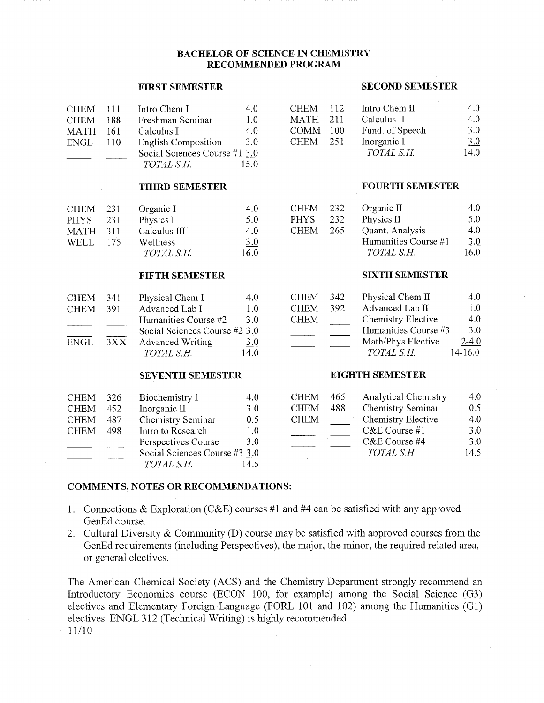## **BACHELOR OF SCIENCE IN CHEMISTRY RECOMMENDED PROGRAM**

## **FIRST SEMESTER**

| <b>CHEM</b> | -111 | Intro Chem I                  | 4.0  |
|-------------|------|-------------------------------|------|
| <b>CHEM</b> | 188  | Freshman Seminar              | 1.0  |
| <b>MATH</b> | 161  | Calculus I                    | 4.0  |
| ENGL        | 110  | <b>English Composition</b>    | 3.0  |
|             |      | Social Sciences Course #1 3.0 |      |
|             |      | TOTAL S.H.                    | 15 0 |

## **THIRD SEMESTER**

| <b>CHEM</b> | 231 | Organic I    | 4.0  |
|-------------|-----|--------------|------|
| <b>PHYS</b> | 231 | Physics I    | 5.0  |
| <b>MATH</b> | 311 | Calculus III | 4.0  |
| <b>WELL</b> | 175 | Wellness     | 3.0  |
|             |     | TOTAL S.H.   | 16.0 |

## **FIFTH SEMESTER**

| CHEM-       | -341 | Physical Chem I               | 4.U  |
|-------------|------|-------------------------------|------|
| <b>CHEM</b> | 391  | Advanced Lab I                | 1.0  |
|             |      | Humanities Course #2          | 3.0  |
|             |      | Social Sciences Course #2 3.0 |      |
| ENGL        | 3XX  | <b>Advanced Writing</b>       | 3.0  |
|             |      | TOTAL S H                     | 14.0 |

#### **SEVENTH SEMESTER**

| <b>CHEM</b> | 326  | Biochemistry I                | 4.0  |
|-------------|------|-------------------------------|------|
| <b>CHEM</b> | 452. | Inorganic II                  | 3.0  |
| <b>CHEM</b> | 487  | Chemistry Seminar             | 0.5  |
| <b>CHEM</b> | 498  | Intro to Research             | 1.0  |
|             |      | Perspectives Course           | 3.0  |
|             |      | Social Sciences Course #3 3.0 |      |
|             |      | TOTAL S.H.                    | 14.5 |

#### **SECOND SEMESTER**

| <b>CHEM</b> | -112 | Intro Chem II   | 4.0  |
|-------------|------|-----------------|------|
| MATH 211    |      | Calculus $\Pi$  | 4.0  |
| <b>COMM</b> | -100 | Fund. of Speech | 3.0  |
| <b>CHEM</b> | 251  | Inorganic I     | 3.0  |
|             |      | TOTAL S.H.      | 14.0 |

#### **FOURTH SEMESTER**

| <b>CHEM</b> | 232 | Organic $\Pi$        | 4.0  |
|-------------|-----|----------------------|------|
| <b>PHYS</b> | 232 | Physics II           | 5.0  |
| <b>CHEM</b> | 265 | Quant. Analysis      | 4.0  |
|             |     | Humanities Course #1 | 3.0  |
|             |     | TOTAL S.H.           | 16.0 |

#### **SIXTH SEMESTER**

| <b>CHEM</b> | 342 | Physical Chem II     | 4.0         |
|-------------|-----|----------------------|-------------|
| <b>CHEM</b> | 392 | Advanced Lab II      | 1.0         |
| <b>CHEM</b> |     | Chemistry Elective   | 4.0         |
|             |     | Humanities Course #3 | 3.0         |
|             |     | Math/Phys Elective   | $2 - 4.0$   |
|             |     | TOTAL S.H.           | $14 - 16.0$ |

## **EIGHTH SEMESTER**

| <b>CHEM</b> | 465 | <b>Analytical Chemistry</b> | 4.0 |
|-------------|-----|-----------------------------|-----|
| <b>CHEM</b> | 488 | Chemistry Seminar           | 0.5 |
| <b>CHEM</b> |     | Chemistry Elective          | 4.0 |
|             |     | C&E Course #1               | 3.0 |
|             |     | C&E Course #4               | 3.0 |
|             |     | TOTAL S.H                   | 145 |

## **COMMENTS, NOTES OR RECOMMENDATIONS:**

- 1. Connections & Exploration (C&E) courses #1 and #4 can be satisfied with any approved GenEd course.
- 2. Cultural Diversity & Community (D) course may be satisfied with approved courses from the GenEd requirements (including Perspectives), the major, the minor, the required related area, or general electives.

The American Chemical Society (ACS) and the Chemistry Department strongly recommend an Introductory Economics course (ECON 100, for example) among the Social Science (G3) electives and Elementary Foreign Language (FORL 101 and 102) among the Humanities (G1) electives. ENGL 312 (Technical Writing) is highly recommended.  $11/10$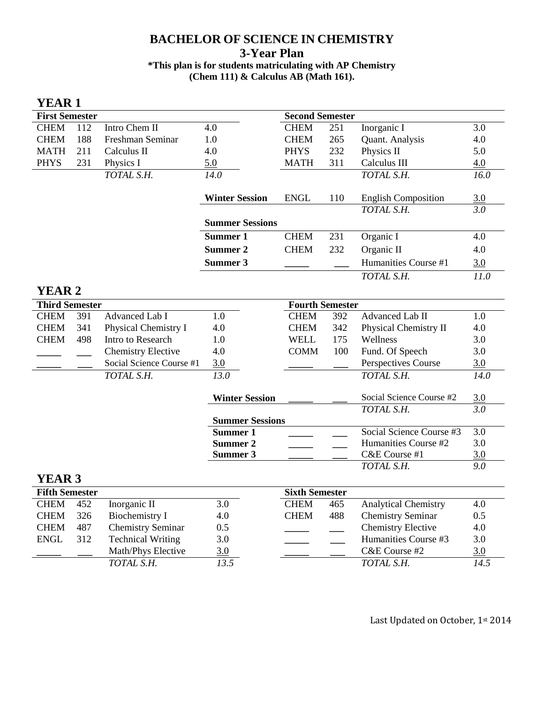# **BACHELOR OF SCIENCE IN CHEMISTRY 3-Year Plan \*This plan is for students matriculating with AP Chemistry (Chem 111) & Calculus AB (Math 161).**

| YEAR 1                |     |                           |                        |                        |     |                             |                  |
|-----------------------|-----|---------------------------|------------------------|------------------------|-----|-----------------------------|------------------|
| <b>First Semester</b> |     |                           |                        | <b>Second Semester</b> |     |                             |                  |
| <b>CHEM</b>           | 112 | Intro Chem II             | 4.0                    | <b>CHEM</b>            | 251 | Inorganic I                 | 3.0              |
| <b>CHEM</b>           | 188 | Freshman Seminar          | 1.0                    | <b>CHEM</b>            | 265 | Quant. Analysis             | 4.0              |
| <b>MATH</b>           | 211 | Calculus II               | 4.0                    | <b>PHYS</b>            | 232 | Physics II                  | 5.0              |
| <b>PHYS</b>           | 231 | Physics I                 | 5.0                    | <b>MATH</b>            | 311 | Calculus III                | 4.0              |
|                       |     | TOTAL S.H.                | 14.0                   |                        |     | TOTAL S.H.                  | 16.0             |
|                       |     |                           |                        |                        |     |                             |                  |
|                       |     |                           | <b>Winter Session</b>  | <b>ENGL</b>            | 110 | <b>English Composition</b>  | 3.0              |
|                       |     |                           |                        |                        |     | TOTAL S.H.                  | $\overline{3.0}$ |
|                       |     |                           | <b>Summer Sessions</b> |                        |     |                             |                  |
|                       |     |                           | Summer 1               | <b>CHEM</b>            | 231 | Organic I                   | 4.0              |
|                       |     |                           | Summer 2               | <b>CHEM</b>            | 232 | Organic II                  | 4.0              |
|                       |     |                           | Summer 3               |                        |     | Humanities Course #1        | 3.0              |
|                       |     |                           |                        |                        |     | TOTAL S.H.                  | 11.0             |
| <b>YEAR 2</b>         |     |                           |                        |                        |     |                             |                  |
| <b>Third Semester</b> |     |                           | <b>Fourth Semester</b> |                        |     |                             |                  |
| <b>CHEM</b>           | 391 | Advanced Lab I            | 1.0                    | <b>CHEM</b>            | 392 | Advanced Lab II             | 1.0              |
| <b>CHEM</b>           | 341 | Physical Chemistry I      | 4.0                    | <b>CHEM</b>            | 342 | Physical Chemistry II       | 4.0              |
| <b>CHEM</b>           | 498 | Intro to Research         | 1.0                    | <b>WELL</b>            | 175 | Wellness                    | 3.0              |
|                       |     | <b>Chemistry Elective</b> | 4.0                    | <b>COMM</b>            | 100 | Fund. Of Speech             | 3.0              |
|                       |     | Social Science Course #1  | 3.0                    |                        |     | Perspectives Course         | 3.0              |
|                       |     | TOTAL S.H.                | $\overline{13.0}$      |                        |     | TOTAL S.H.                  | 14.0             |
|                       |     |                           |                        |                        |     |                             |                  |
|                       |     |                           | <b>Winter Session</b>  |                        |     | Social Science Course #2    | 3.0              |
|                       |     |                           |                        |                        |     | TOTAL S.H.                  | 3.0              |
|                       |     |                           | <b>Summer Sessions</b> |                        |     |                             |                  |
|                       |     |                           | Summer 1               |                        |     | Social Science Course #3    | $\overline{3.0}$ |
|                       |     |                           | Summer 2               |                        |     | Humanities Course #2        | 3.0              |
|                       |     |                           | Summer 3               |                        |     | C&E Course #1               | 3.0              |
|                       |     |                           |                        |                        |     | TOTAL S.H.                  | 9.0              |
| <b>YEAR 3</b>         |     |                           |                        |                        |     |                             |                  |
| <b>Fifth Semester</b> |     |                           |                        | <b>Sixth Semester</b>  |     |                             |                  |
| <b>CHEM</b>           | 452 | Inorganic II              | 3.0                    | <b>CHEM</b>            | 465 | <b>Analytical Chemistry</b> | 4.0              |
| <b>CHEM</b>           | 326 | <b>Biochemistry I</b>     | 4.0                    | <b>CHEM</b>            | 488 | <b>Chemistry Seminar</b>    | 0.5              |
| <b>CHEM</b>           | 487 | <b>Chemistry Seminar</b>  | 0.5                    |                        |     | <b>Chemistry Elective</b>   | 4.0              |

| ENGL | 312 | <b>Technical Writing</b> |     |  | Humanities Course #3 | 3.0 |
|------|-----|--------------------------|-----|--|----------------------|-----|
|      |     | Math/Phys Elective       | 3.0 |  | $C&E$ Course #2      | 3.0 |
|      |     | TOTAL S.H.               |     |  | TOTAL S.H.           | 14. |

| Sixth Semester |     |                             |     |
|----------------|-----|-----------------------------|-----|
| <b>CHEM</b>    | 465 | <b>Analytical Chemistry</b> | 4.0 |
| CHEM           | 488 | <b>Chemistry Seminar</b>    | 0.5 |
|                |     | <b>Chemistry Elective</b>   | 4.0 |
|                |     | Humanities Course #3        | 3.0 |
|                |     | $C&E$ Course #2             | 3.0 |
|                |     | TOTAL S.H.                  | 145 |

Last Updated on October, 1st 2014